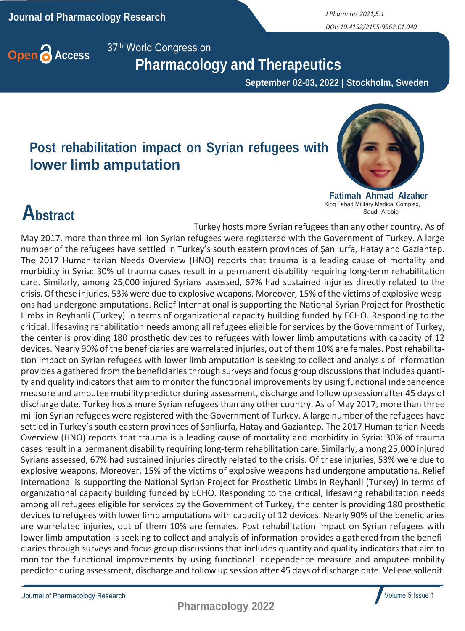*DOI: 10.4152/2155-9562.C1.040*

**Open Access** 37<sup>th</sup> World Congress on

 **Pharmacology and Therapeutics**

 **September 02-03, 2022 | Stockholm, Sweden**

Turkey hosts more Syrian refugees than any other country. As of

### **Post rehabilitation impact on Syrian refugees with lower limb amputation**



**Fatimah Ahmad Alzaher** King Fahad Military Medical Complex, Saudi Arabia

## **Abstract**

May 2017, more than three million Syrian refugees were registered with the Government of Turkey. A large number of the refugees have settled in Turkey's south eastern provinces of Şanliurfa, Hatay and Gaziantep. The 2017 Humanitarian Needs Overview (HNO) reports that trauma is a leading cause of mortality and morbidity in Syria: 30% of trauma cases result in a permanent disability requiring long-term rehabilitation care. Similarly, among 25,000 injured Syrians assessed, 67% had sustained injuries directly related to the crisis. Of these injuries, 53% were due to explosive weapons. Moreover, 15% of the victims of explosive weapons had undergone amputations. Relief International is supporting the National Syrian Project for Prosthetic Limbs in Reyhanli (Turkey) in terms of organizational capacity building funded by ECHO. Responding to the critical, lifesaving rehabilitation needs among all refugees eligible for services by the Government of Turkey, the center is providing 180 prosthetic devices to refugees with lower limb amputations with capacity of 12 devices. Nearly 90% of the beneficiaries are warrelated injuries, out of them 10% are females. Post rehabilitation impact on Syrian refugees with lower limb amputation is seeking to collect and analysis of information provides a gathered from the beneficiaries through surveys and focus group discussions that includes quantity and quality indicators that aim to monitor the functional improvements by using functional independence measure and amputee mobility predictor during assessment, discharge and follow up session after 45 days of discharge date. Turkey hosts more Syrian refugees than any other country. As of May 2017, more than three million Syrian refugees were registered with the Government of Turkey. A large number of the refugees have settled in Turkey's south eastern provinces of Şanliurfa, Hatay and Gaziantep. The 2017 Humanitarian Needs Overview (HNO) reports that trauma is a leading cause of mortality and morbidity in Syria: 30% of trauma

casesresult in a permanent disability requiring long-term rehabilitation care. Similarly, among 25,000 injured Syrians assessed, 67% had sustained injuries directly related to the crisis. Of these injuries, 53% were due to explosive weapons. Moreover, 15% of the victims of explosive weapons had undergone amputations. Relief International is supporting the National Syrian Project for Prosthetic Limbs in Reyhanli (Turkey) in terms of organizational capacity building funded by ECHO. Responding to the critical, lifesaving rehabilitation needs among all refugees eligible for services by the Government of Turkey, the center is providing 180 prosthetic devices to refugees with lower limb amputations with capacity of 12 devices. Nearly 90% of the beneficiaries are warrelated injuries, out of them 10% are females. Post rehabilitation impact on Syrian refugees with lower limb amputation is seeking to collect and analysis of information provides a gathered from the beneficiaries through surveys and focus group discussions that includes quantity and quality indicators that aim to monitor the functional improvements by using functional independence measure and amputee mobility predictor during assessment, discharge and follow up session after 45 days of discharge date. Vel ene sollenit